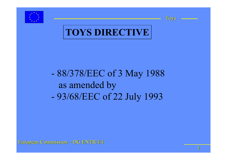



1



#### 88/378/EEC of 3 May 1988 as amended by 93/68/EEC of 22 July 1993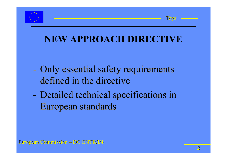



#### **NEW APPROACH DIRECTIVE**

- - Only essential safety requirements defined in the directive defined in the directive -Only essential safety requirements
- - Detailed technical specifications in European standards European standards -Detailed technical specifications in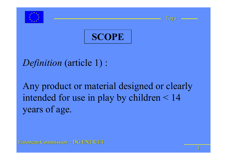





*Definition* (article 1) :

Any product or material designed or clearly intended for use in play by children  $\leq 14$ years of age.

European Commission European Commission – DG ENTR/I/4 DG ENTR/I/4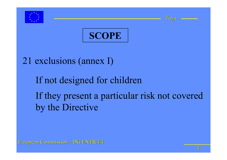





#### 21 exclusions (annex I)

## If not designed for children If they present a particular risk not covered by the Directive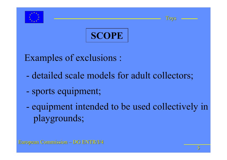





- Examples of exclusions :
	- detailed scale models for adult collectors;
	- sports equipment;
	- equipment intended to be used collectively in playgrounds;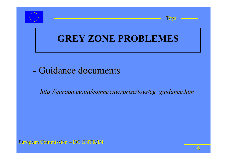



#### **GREY ZONE PROBLEMES**

#### - Guidance documents - Guidance documents

*http://europa.eu.int/comm/enterprise/toys/eg\_guidance.htm http://europa.eu.int/comm/enterprise/toys/eg\_guidance.htm*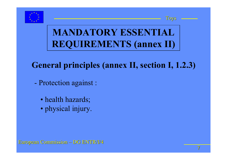





#### **General principles (annex II, section I, 1.2.3)**

- Protection against :
	- health hazards;
	- physical injury.

European Commission European Commission – DG ENTR/I/4 DG ENTR/I/4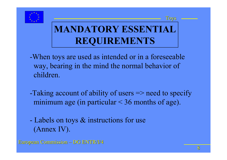



- -When toys are used as intended or in a foreseeable way, bearing in the mind the normal behavior of children.
- -Taking account of ability of users => need to specify minimum age (in particular  $\leq$  36 months of age).
- Labels on toys & instructions for use (Annex IV).
- **European Commission DG ENTR/I/4**

Toys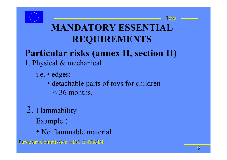

# **Particular risks (annex II, section II)**

- 1. Physical & mechanical
	- i.e. edges;
		- detachable parts of toys for children  $\leq$  36 months.
- 2. Flammability Example :
	- No flammable material
- **European Commission DG ENTR/I/4**

Toys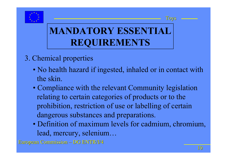



#### 3. Chemical properties

- No health hazard if ingested, inhaled or in contact with the skin.
- Compliance with the relevant Community legislation relating to certain categories of products or to the prohibition, restriction of use or labelling of certain dangerous substances and preparations.
- Definition of maximum levels for cadmium, chromium, lead, mercury, selenium…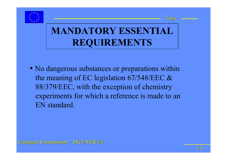



• No dangerous substances or preparations within the meaning of EC legislation 67/548/EEC & 88/379/EEC, with the exception of chemistry experiments for which a reference is made to an EN standard.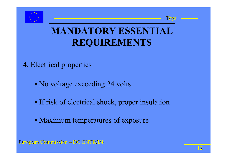



- 4. Electrical properties
	- No voltage exceeding 24 volts
	- If risk of electrical shock, proper insulation
	- Maximum temperatures of exposure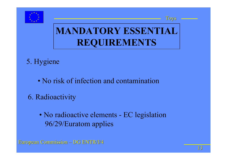



#### 5. Hygiene

- No risk of infection and contamination
- 6. Radioactivity
	- No radioactive elements EC legislation 96/29/Euratom applies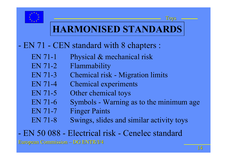

#### **HARMONISED STANDARDS**

#### EN 71 - CEN standard with 8 chapters :

- EN 71-1 Physical & mechanical risk
- EN 71-2 Flammability
- EN 71-3 Chemical risk Migration limits
- EN 71-4 Chemical experiments
- EN 71-5 Other chemical toys
- EN 71-6 Symbols Warning as to the minimum age
- EN 71-7 Finger Paints
- EN 71-8 Swings, slides and similar activity toys

**European Commission – DG ENTR/I/4** EN 50 088 - Electrical risk - Cenelec standard

Toys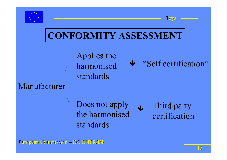



### **CONFORMITY ASSESSMENT**

Applies the harmonised standards

"Self certification" Ð

#### Manufacturer

Does not apply the harmonisedstandards Third party certificationÐ

**European Commission – DG ENTR/I/4** 

/

 $\backslash$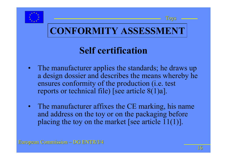



#### **Self certification**

- The manufacturer applies the standards; he draws up a design dossier and describes the means whereby he ensures conformity of the production (i.e. test reports or technical file) [see article 8(1)a].
- The manufacturer affixes the CE marking, his name and address on the toy or on the packaging before placing the toy on the market [see article 11(1)].

**European Commission – DG ENTR/I/4** 

Toys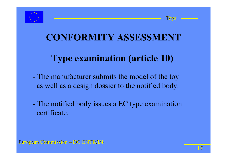



#### **CONFORMITY ASSESSMENT**

### **Type examination (article 10)**

- The manufacturer submits the model of the toy as well as a design dossier to the notified body.
- The notified body issues a EC type examination certificate.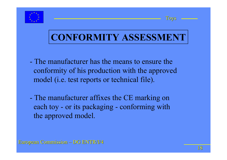



#### **CONFORMITY ASSESSMENT**

- The manufacturer has the means to ensure theconformity of his production with the approved model (i.e. test reports or technical file).
- The manufacturer affixes the CE marking on each toy - or its packaging - conforming with the approved model.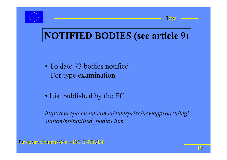



### **NOTIFIED BODIES (see article 9)**

- To date 73 bodies notifiedFor type examination
- List published by the EC

*http://europa.eu.int/comm/enterprise/newapproach/legi slation/nb/notified\_bodies.htm*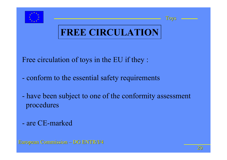



### **FREE CIRCULATION**

- Free circulation of toys in the EU if they :
- conform to the essential safety requirements
- have been subject to one of the conformity assessment procedures
- are CE-marked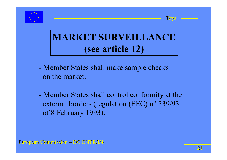



### **MARKET SURVEILLANCE (see article 12)**

- Member States shall make sample checks on the market.
- Member States shall control conformity at the external borders (regulation (EEC) n° 339/93 of 8 February 1993).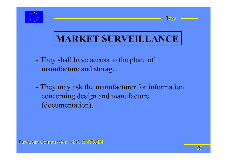



- They shall have access to the place of manufacture and storage.
- They may ask the manufacturer for information concerning design and manufacture (documentation).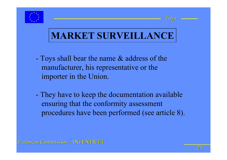



### **MARKET SURVEILLANCE**

- Toys shall bear the name & address of the manufacturer, his representative or the importer in the Union.
- They have to keep the documentation available ensuring that the conformity assessment procedures have been performed (see article 8).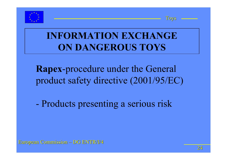



#### **INFORMATION EXCHANGE ON DANGEROUS TOYS**

**Rapex**-procedure under the General product safety directive (2001/95/EC)

Products presenting a serious risk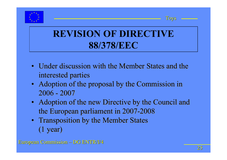



#### **REVISION OF DIRECTIVE 88/378/EEC**

- Under discussion with the Member States and the Under discussion with the Member States and the interested parties interested parties
- Adoption of the proposal by the Commission in Adoption of the proposal by the Commission in 2006 - 2007
- Adoption of the new Directive by the Council and the European parliament in 2007-2008 the European parliament in 2007-2008
- Transposition by the Member States Transposition by the Member States (1 year) (1 year)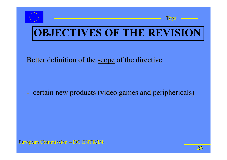



Better definition of the scope of the directive

 certain new products (video games and periphericals) certain new products (video games and periphericals)

European Commission European Commission – DG ENTR/I/4 DG ENTR/I/4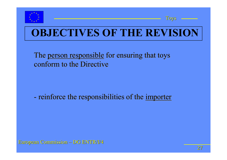



The <u>person responsible</u> for ensuring that toys conform to the Directive

reinforce the responsibilities of the <u>importer</u> reinforce the responsibilities of the <u>importer</u>

European Commission European Commission – DG ENTR/I/4 DG ENTR/I/4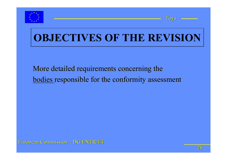



#### More detailed requirements concerning the More detailed requirements concerning the bodies responsible for the conformity assessment bodies responsible for the conformity assessment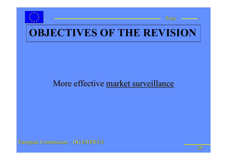



#### More effective market surveillance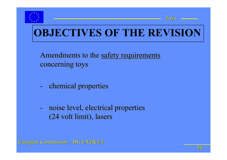



Amendments to the safety requirements concerning toys concerning toys

- chemical properties chemical properties
- - noise level, electrical properties noise level, electrical properties (24 volt limit), lasers (24 volt limit), lasers